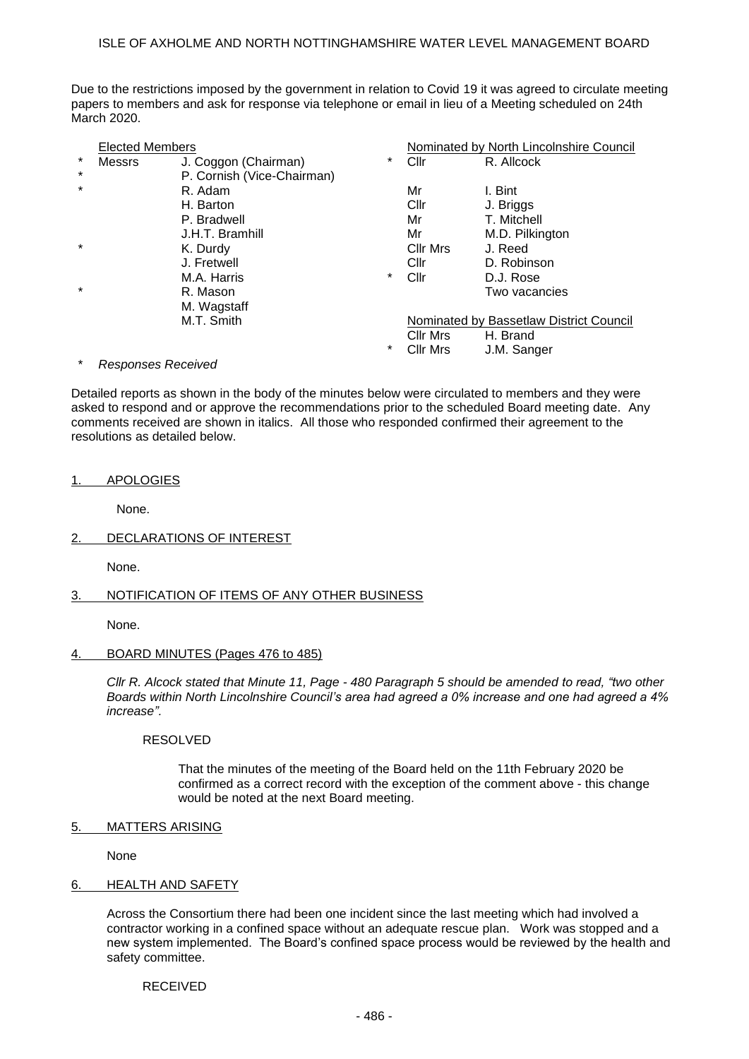## ISLE OF AXHOLME AND NORTH NOTTINGHAMSHIRE WATER LEVEL MANAGEMENT BOARD

Due to the restrictions imposed by the government in relation to Covid 19 it was agreed to circulate meeting papers to members and ask for response via telephone or email in lieu of a Meeting scheduled on 24th March 2020.

|         | <b>Elected Members</b> |                            |        | Nominated by North Lincolnshire Council |                 |
|---------|------------------------|----------------------------|--------|-----------------------------------------|-----------------|
| $\ast$  | Messrs                 | J. Coggon (Chairman)       | *      | Cllr                                    | R. Allcock      |
| $\ast$  |                        | P. Cornish (Vice-Chairman) |        |                                         |                 |
| $\star$ |                        | R. Adam                    |        | Mr                                      | I. Bint         |
|         |                        | H. Barton                  |        | Cllr                                    | J. Briggs       |
|         |                        | P. Bradwell                |        | Mr                                      | T. Mitchell     |
|         |                        | J.H.T. Bramhill            |        | Mr                                      | M.D. Pilkington |
| $\star$ |                        | K. Durdy                   |        | <b>Cllr Mrs</b>                         | J. Reed         |
|         |                        | J. Fretwell                |        | Cl <sub>lr</sub>                        | D. Robinson     |
|         |                        | M.A. Harris                | *      | Cllr                                    | D.J. Rose       |
| $\star$ |                        | R. Mason                   |        |                                         | Two vacancies   |
|         |                        | M. Wagstaff                |        |                                         |                 |
|         |                        | M.T. Smith                 |        | Nominated by Bassetlaw District Council |                 |
|         |                        |                            |        | Cllr Mrs                                | H. Brand        |
|         |                        |                            | $\ast$ | Cllr Mrs                                | J.M. Sanger     |

## $Respones$  Received

Detailed reports as shown in the body of the minutes below were circulated to members and they were asked to respond and or approve the recommendations prior to the scheduled Board meeting date. Any comments received are shown in italics. All those who responded confirmed their agreement to the resolutions as detailed below.

## 1. APOLOGIES

None.

2. DECLARATIONS OF INTEREST

None.

# 3. NOTIFICATION OF ITEMS OF ANY OTHER BUSINESS

None.

## 4. BOARD MINUTES (Pages 476 to 485)

*Cllr R. Alcock stated that Minute 11, Page - 480 Paragraph 5 should be amended to read, "two other Boards within North Lincolnshire Council's area had agreed a 0% increase and one had agreed a 4% increase".*

## RESOLVED

That the minutes of the meeting of the Board held on the 11th February 2020 be confirmed as a correct record with the exception of the comment above - this change would be noted at the next Board meeting.

## 5. MATTERS ARISING

None

## 6. HEALTH AND SAFETY

Across the Consortium there had been one incident since the last meeting which had involved a contractor working in a confined space without an adequate rescue plan. Work was stopped and a new system implemented. The Board's confined space process would be reviewed by the health and safety committee.

RECEIVED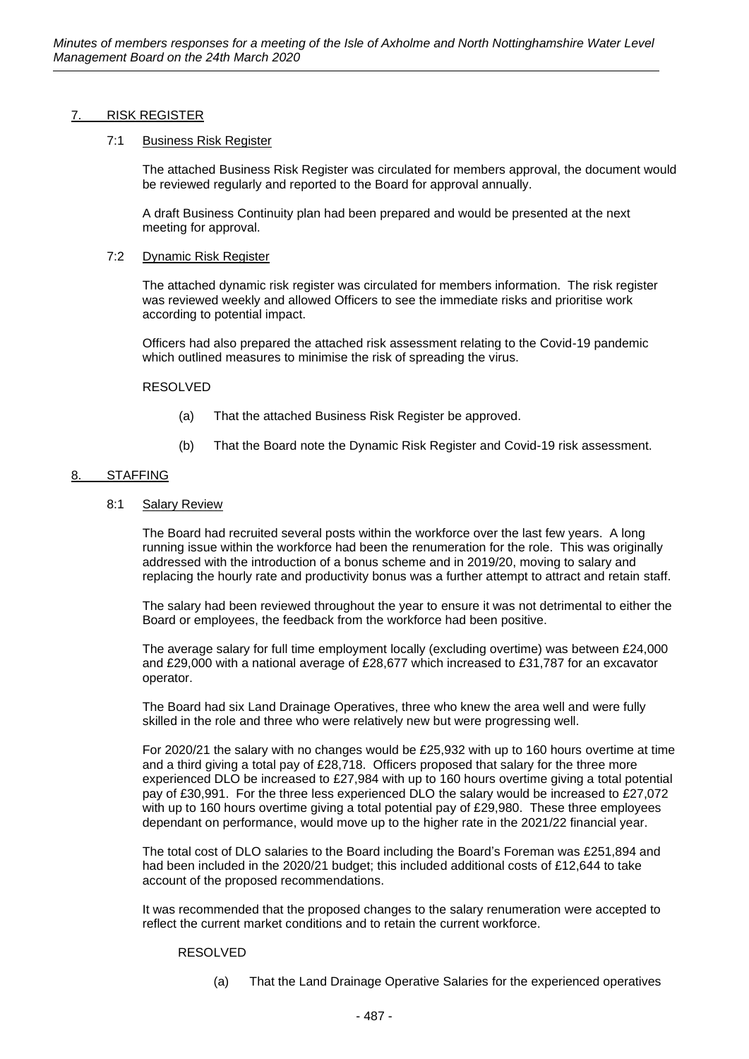# 7. RISK REGISTER

## 7:1 Business Risk Register

The attached Business Risk Register was circulated for members approval, the document would be reviewed regularly and reported to the Board for approval annually.

A draft Business Continuity plan had been prepared and would be presented at the next meeting for approval.

## 7:2 Dynamic Risk Register

The attached dynamic risk register was circulated for members information. The risk register was reviewed weekly and allowed Officers to see the immediate risks and prioritise work according to potential impact.

Officers had also prepared the attached risk assessment relating to the Covid-19 pandemic which outlined measures to minimise the risk of spreading the virus.

## RESOLVED

- (a) That the attached Business Risk Register be approved.
- (b) That the Board note the Dynamic Risk Register and Covid-19 risk assessment.

## 8. STAFFING

8:1 Salary Review

The Board had recruited several posts within the workforce over the last few years. A long running issue within the workforce had been the renumeration for the role. This was originally addressed with the introduction of a bonus scheme and in 2019/20, moving to salary and replacing the hourly rate and productivity bonus was a further attempt to attract and retain staff.

The salary had been reviewed throughout the year to ensure it was not detrimental to either the Board or employees, the feedback from the workforce had been positive.

The average salary for full time employment locally (excluding overtime) was between £24,000 and £29,000 with a national average of £28,677 which increased to £31,787 for an excavator operator.

The Board had six Land Drainage Operatives, three who knew the area well and were fully skilled in the role and three who were relatively new but were progressing well.

For 2020/21 the salary with no changes would be £25,932 with up to 160 hours overtime at time and a third giving a total pay of £28,718. Officers proposed that salary for the three more experienced DLO be increased to £27,984 with up to 160 hours overtime giving a total potential pay of £30,991. For the three less experienced DLO the salary would be increased to £27,072 with up to 160 hours overtime giving a total potential pay of £29,980. These three employees dependant on performance, would move up to the higher rate in the 2021/22 financial year.

The total cost of DLO salaries to the Board including the Board's Foreman was £251,894 and had been included in the 2020/21 budget; this included additional costs of £12,644 to take account of the proposed recommendations.

It was recommended that the proposed changes to the salary renumeration were accepted to reflect the current market conditions and to retain the current workforce.

## RESOLVED

(a) That the Land Drainage Operative Salaries for the experienced operatives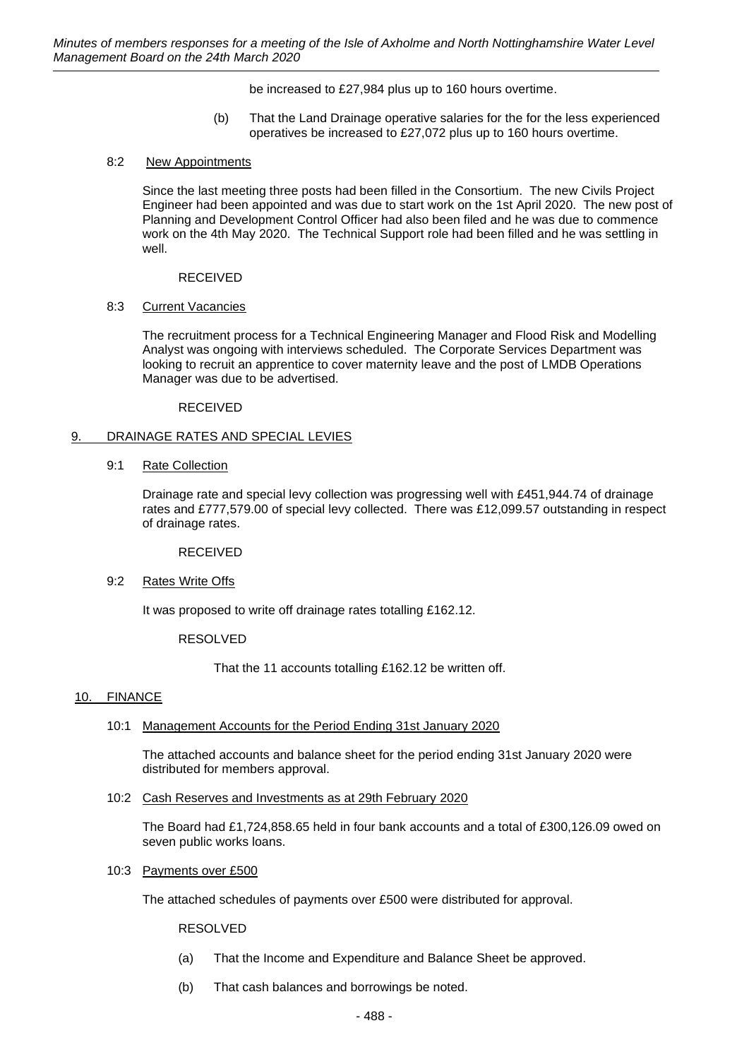be increased to £27,984 plus up to 160 hours overtime.

(b) That the Land Drainage operative salaries for the for the less experienced operatives be increased to £27,072 plus up to 160 hours overtime.

## 8:2 New Appointments

Since the last meeting three posts had been filled in the Consortium. The new Civils Project Engineer had been appointed and was due to start work on the 1st April 2020. The new post of Planning and Development Control Officer had also been filed and he was due to commence work on the 4th May 2020. The Technical Support role had been filled and he was settling in well.

## RECEIVED

## 8:3 Current Vacancies

The recruitment process for a Technical Engineering Manager and Flood Risk and Modelling Analyst was ongoing with interviews scheduled. The Corporate Services Department was looking to recruit an apprentice to cover maternity leave and the post of LMDB Operations Manager was due to be advertised.

## RECEIVED

## 9. DRAINAGE RATES AND SPECIAL LEVIES

## 9:1 Rate Collection

Drainage rate and special levy collection was progressing well with £451,944.74 of drainage rates and £777,579.00 of special levy collected. There was £12,099.57 outstanding in respect of drainage rates.

RECEIVED

# 9:2 Rates Write Offs

It was proposed to write off drainage rates totalling £162.12.

# RESOLVED

That the 11 accounts totalling £162.12 be written off.

# 10. FINANCE

10:1 Management Accounts for the Period Ending 31st January 2020

The attached accounts and balance sheet for the period ending 31st January 2020 were distributed for members approval.

10:2 Cash Reserves and Investments as at 29th February 2020

The Board had £1,724,858.65 held in four bank accounts and a total of £300,126.09 owed on seven public works loans.

10:3 Payments over £500

The attached schedules of payments over £500 were distributed for approval.

RESOLVED

- (a) That the Income and Expenditure and Balance Sheet be approved.
- (b) That cash balances and borrowings be noted.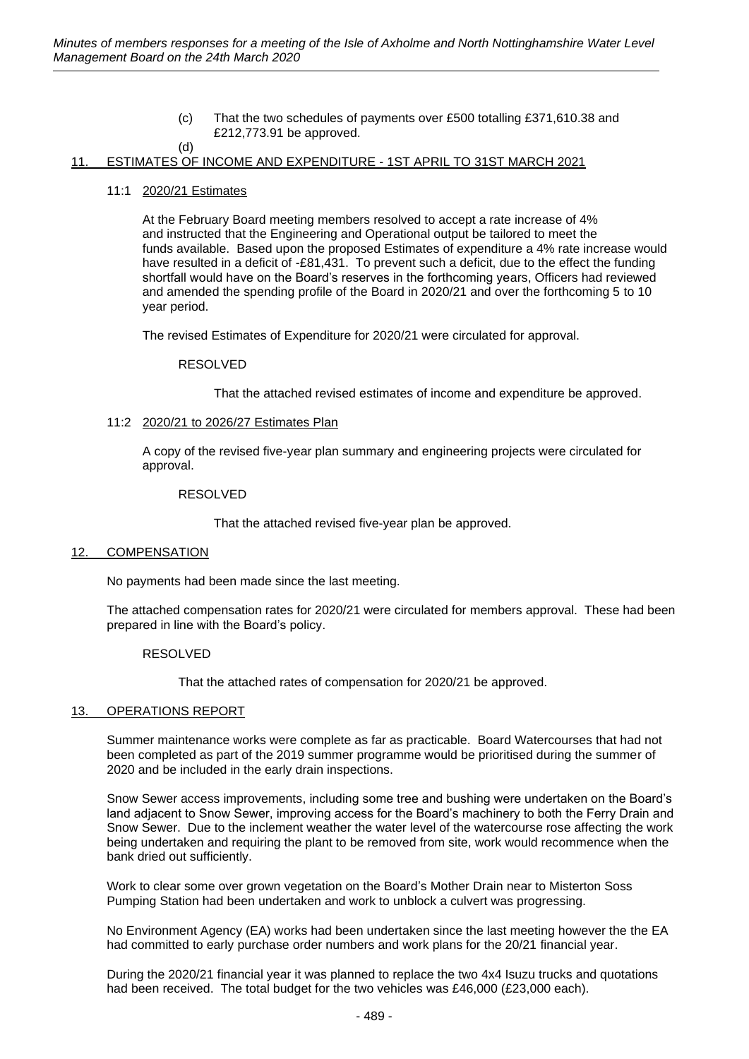(c) That the two schedules of payments over £500 totalling £371,610.38 and £212,773.91 be approved.

# 11. ESTIMATES OF INCOME AND EXPENDITURE - 1ST APRIL TO 31ST MARCH 2021

## 11:1 2020/21 Estimates

(d)

At the February Board meeting members resolved to accept a rate increase of 4% and instructed that the Engineering and Operational output be tailored to meet the funds available. Based upon the proposed Estimates of expenditure a 4% rate increase would have resulted in a deficit of -£81,431. To prevent such a deficit, due to the effect the funding shortfall would have on the Board's reserves in the forthcoming years, Officers had reviewed and amended the spending profile of the Board in 2020/21 and over the forthcoming 5 to 10 year period.

The revised Estimates of Expenditure for 2020/21 were circulated for approval.

## RESOLVED

That the attached revised estimates of income and expenditure be approved.

## 11:2 2020/21 to 2026/27 Estimates Plan

A copy of the revised five-year plan summary and engineering projects were circulated for approval.

#### RESOLVED

That the attached revised five-year plan be approved.

## 12. COMPENSATION

No payments had been made since the last meeting.

The attached compensation rates for 2020/21 were circulated for members approval. These had been prepared in line with the Board's policy.

## RESOLVED

That the attached rates of compensation for 2020/21 be approved.

## 13. OPERATIONS REPORT

Summer maintenance works were complete as far as practicable. Board Watercourses that had not been completed as part of the 2019 summer programme would be prioritised during the summer of 2020 and be included in the early drain inspections.

Snow Sewer access improvements, including some tree and bushing were undertaken on the Board's land adjacent to Snow Sewer, improving access for the Board's machinery to both the Ferry Drain and Snow Sewer. Due to the inclement weather the water level of the watercourse rose affecting the work being undertaken and requiring the plant to be removed from site, work would recommence when the bank dried out sufficiently.

Work to clear some over grown vegetation on the Board's Mother Drain near to Misterton Soss Pumping Station had been undertaken and work to unblock a culvert was progressing.

No Environment Agency (EA) works had been undertaken since the last meeting however the the EA had committed to early purchase order numbers and work plans for the 20/21 financial year.

During the 2020/21 financial year it was planned to replace the two 4x4 Isuzu trucks and quotations had been received. The total budget for the two vehicles was £46,000 (£23,000 each).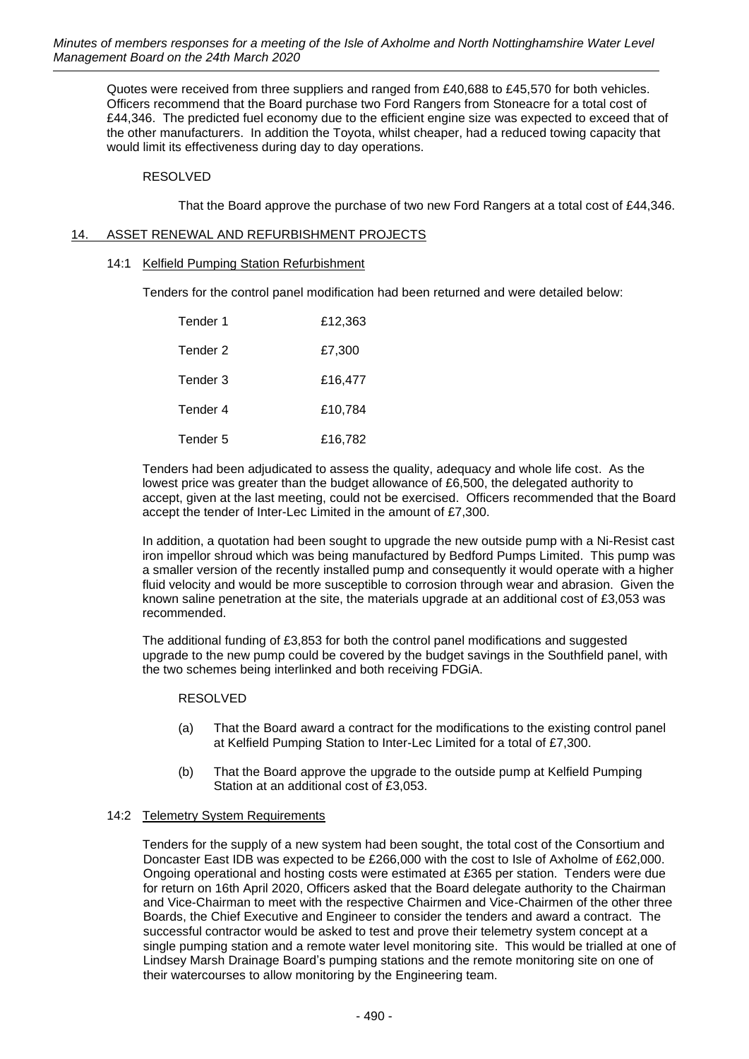Quotes were received from three suppliers and ranged from £40,688 to £45,570 for both vehicles. Officers recommend that the Board purchase two Ford Rangers from Stoneacre for a total cost of £44,346. The predicted fuel economy due to the efficient engine size was expected to exceed that of the other manufacturers. In addition the Toyota, whilst cheaper, had a reduced towing capacity that would limit its effectiveness during day to day operations.

# RESOLVED

That the Board approve the purchase of two new Ford Rangers at a total cost of £44,346.

# 14. ASSET RENEWAL AND REFURBISHMENT PROJECTS

14:1 Kelfield Pumping Station Refurbishment

Tenders for the control panel modification had been returned and were detailed below:

| Tender 1 | £12.363 |
|----------|---------|
| Tender 2 | £7,300  |
| Tender 3 | £16.477 |
| Tender 4 | £10,784 |
| Tender 5 | £16,782 |

Tenders had been adjudicated to assess the quality, adequacy and whole life cost. As the lowest price was greater than the budget allowance of £6,500, the delegated authority to accept, given at the last meeting, could not be exercised. Officers recommended that the Board accept the tender of Inter-Lec Limited in the amount of £7,300.

In addition, a quotation had been sought to upgrade the new outside pump with a Ni-Resist cast iron impellor shroud which was being manufactured by Bedford Pumps Limited. This pump was a smaller version of the recently installed pump and consequently it would operate with a higher fluid velocity and would be more susceptible to corrosion through wear and abrasion. Given the known saline penetration at the site, the materials upgrade at an additional cost of £3,053 was recommended.

The additional funding of £3,853 for both the control panel modifications and suggested upgrade to the new pump could be covered by the budget savings in the Southfield panel, with the two schemes being interlinked and both receiving FDGiA.

## RESOLVED

- (a) That the Board award a contract for the modifications to the existing control panel at Kelfield Pumping Station to Inter-Lec Limited for a total of £7,300.
- (b) That the Board approve the upgrade to the outside pump at Kelfield Pumping Station at an additional cost of £3,053.

# 14:2 Telemetry System Requirements

Tenders for the supply of a new system had been sought, the total cost of the Consortium and Doncaster East IDB was expected to be £266,000 with the cost to Isle of Axholme of £62,000. Ongoing operational and hosting costs were estimated at £365 per station. Tenders were due for return on 16th April 2020, Officers asked that the Board delegate authority to the Chairman and Vice-Chairman to meet with the respective Chairmen and Vice-Chairmen of the other three Boards, the Chief Executive and Engineer to consider the tenders and award a contract. The successful contractor would be asked to test and prove their telemetry system concept at a single pumping station and a remote water level monitoring site. This would be trialled at one of Lindsey Marsh Drainage Board's pumping stations and the remote monitoring site on one of their watercourses to allow monitoring by the Engineering team.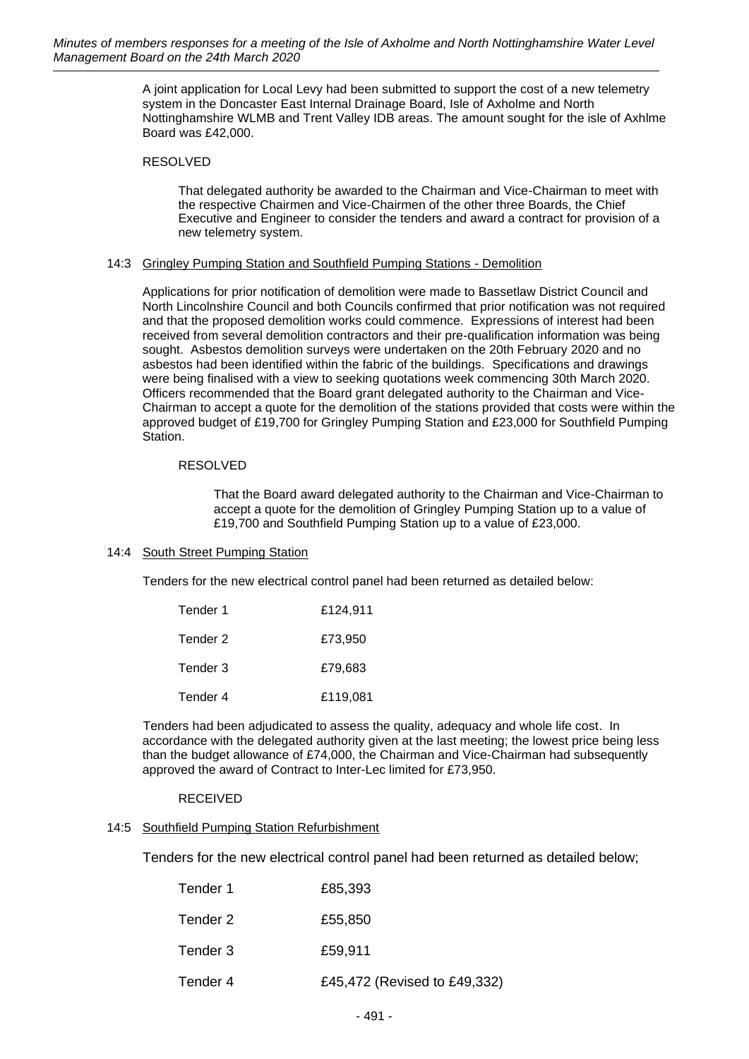A joint application for Local Levy had been submitted to support the cost of a new telemetry system in the Doncaster East Internal Drainage Board, Isle of Axholme and North Nottinghamshire WLMB and Trent Valley IDB areas. The amount sought for the isle of Axhlme Board was £42,000.

## RESOLVED

That delegated authority be awarded to the Chairman and Vice-Chairman to meet with the respective Chairmen and Vice-Chairmen of the other three Boards, the Chief Executive and Engineer to consider the tenders and award a contract for provision of a new telemetry system.

## 14:3 Gringley Pumping Station and Southfield Pumping Stations - Demolition

Applications for prior notification of demolition were made to Bassetlaw District Council and North Lincolnshire Council and both Councils confirmed that prior notification was not required and that the proposed demolition works could commence. Expressions of interest had been received from several demolition contractors and their pre-qualification information was being sought. Asbestos demolition surveys were undertaken on the 20th February 2020 and no asbestos had been identified within the fabric of the buildings. Specifications and drawings were being finalised with a view to seeking quotations week commencing 30th March 2020. Officers recommended that the Board grant delegated authority to the Chairman and Vice-Chairman to accept a quote for the demolition of the stations provided that costs were within the approved budget of £19,700 for Gringley Pumping Station and £23,000 for Southfield Pumping Station.

# RESOLVED

That the Board award delegated authority to the Chairman and Vice-Chairman to accept a quote for the demolition of Gringley Pumping Station up to a value of £19,700 and Southfield Pumping Station up to a value of £23,000.

# 14:4 South Street Pumping Station

Tenders for the new electrical control panel had been returned as detailed below:

| Tender 1 | £124,911 |
|----------|----------|
| Tender 2 | £73,950  |
| Tender 3 | £79.683  |
| Tender 4 | £119,081 |

Tenders had been adjudicated to assess the quality, adequacy and whole life cost. In accordance with the delegated authority given at the last meeting; the lowest price being less than the budget allowance of £74,000, the Chairman and Vice-Chairman had subsequently approved the award of Contract to Inter-Lec limited for £73,950.

# RECEIVED

# 14:5 Southfield Pumping Station Refurbishment

Tenders for the new electrical control panel had been returned as detailed below;

| Tender 1 | £85,393                      |
|----------|------------------------------|
| Tender 2 | £55,850                      |
| Tender 3 | £59,911                      |
| Tender 4 | £45,472 (Revised to £49,332) |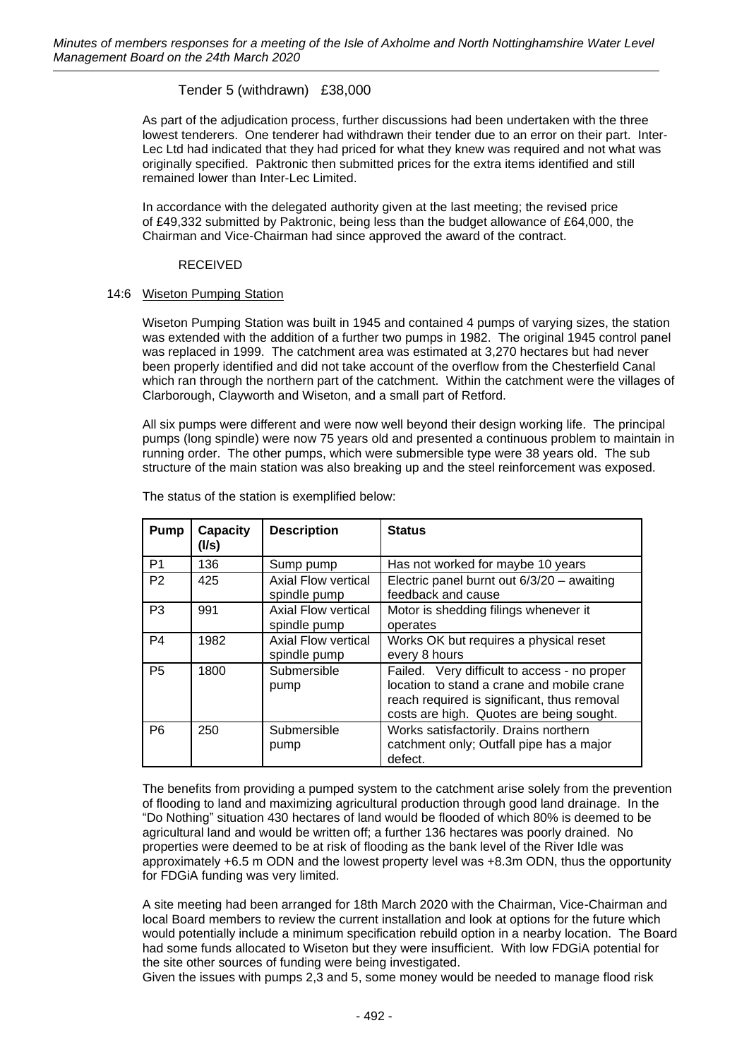# Tender 5 (withdrawn) £38,000

As part of the adjudication process, further discussions had been undertaken with the three lowest tenderers. One tenderer had withdrawn their tender due to an error on their part. Inter-Lec Ltd had indicated that they had priced for what they knew was required and not what was originally specified. Paktronic then submitted prices for the extra items identified and still remained lower than Inter-Lec Limited.

In accordance with the delegated authority given at the last meeting; the revised price of £49,332 submitted by Paktronic, being less than the budget allowance of £64,000, the Chairman and Vice-Chairman had since approved the award of the contract.

## RECEIVED

## 14:6 Wiseton Pumping Station

Wiseton Pumping Station was built in 1945 and contained 4 pumps of varying sizes, the station was extended with the addition of a further two pumps in 1982. The original 1945 control panel was replaced in 1999. The catchment area was estimated at 3,270 hectares but had never been properly identified and did not take account of the overflow from the Chesterfield Canal which ran through the northern part of the catchment. Within the catchment were the villages of Clarborough, Clayworth and Wiseton, and a small part of Retford.

All six pumps were different and were now well beyond their design working life. The principal pumps (long spindle) were now 75 years old and presented a continuous problem to maintain in running order. The other pumps, which were submersible type were 38 years old. The sub structure of the main station was also breaking up and the steel reinforcement was exposed.

| <b>Pump</b>    | <b>Capacity</b><br>(I/s) | <b>Description</b>                  | <b>Status</b>                                                                                                                                                                         |
|----------------|--------------------------|-------------------------------------|---------------------------------------------------------------------------------------------------------------------------------------------------------------------------------------|
| P <sub>1</sub> | 136                      | Sump pump                           | Has not worked for maybe 10 years                                                                                                                                                     |
| P <sub>2</sub> | 425                      | Axial Flow vertical<br>spindle pump | Electric panel burnt out $6/3/20 -$ awaiting<br>feedback and cause                                                                                                                    |
| P <sub>3</sub> | 991                      | Axial Flow vertical<br>spindle pump | Motor is shedding filings whenever it<br>operates                                                                                                                                     |
| P <sub>4</sub> | 1982                     | Axial Flow vertical<br>spindle pump | Works OK but requires a physical reset<br>every 8 hours                                                                                                                               |
| P <sub>5</sub> | 1800                     | Submersible<br>pump                 | Failed. Very difficult to access - no proper<br>location to stand a crane and mobile crane<br>reach required is significant, thus removal<br>costs are high. Quotes are being sought. |
| P <sub>6</sub> | 250                      | Submersible<br>pump                 | Works satisfactorily. Drains northern<br>catchment only; Outfall pipe has a major<br>defect.                                                                                          |

The status of the station is exemplified below:

The benefits from providing a pumped system to the catchment arise solely from the prevention of flooding to land and maximizing agricultural production through good land drainage. In the "Do Nothing" situation 430 hectares of land would be flooded of which 80% is deemed to be agricultural land and would be written off; a further 136 hectares was poorly drained. No properties were deemed to be at risk of flooding as the bank level of the River Idle was approximately +6.5 m ODN and the lowest property level was +8.3m ODN, thus the opportunity for FDGiA funding was very limited.

A site meeting had been arranged for 18th March 2020 with the Chairman, Vice-Chairman and local Board members to review the current installation and look at options for the future which would potentially include a minimum specification rebuild option in a nearby location. The Board had some funds allocated to Wiseton but they were insufficient. With low FDGiA potential for the site other sources of funding were being investigated.

Given the issues with pumps 2,3 and 5, some money would be needed to manage flood risk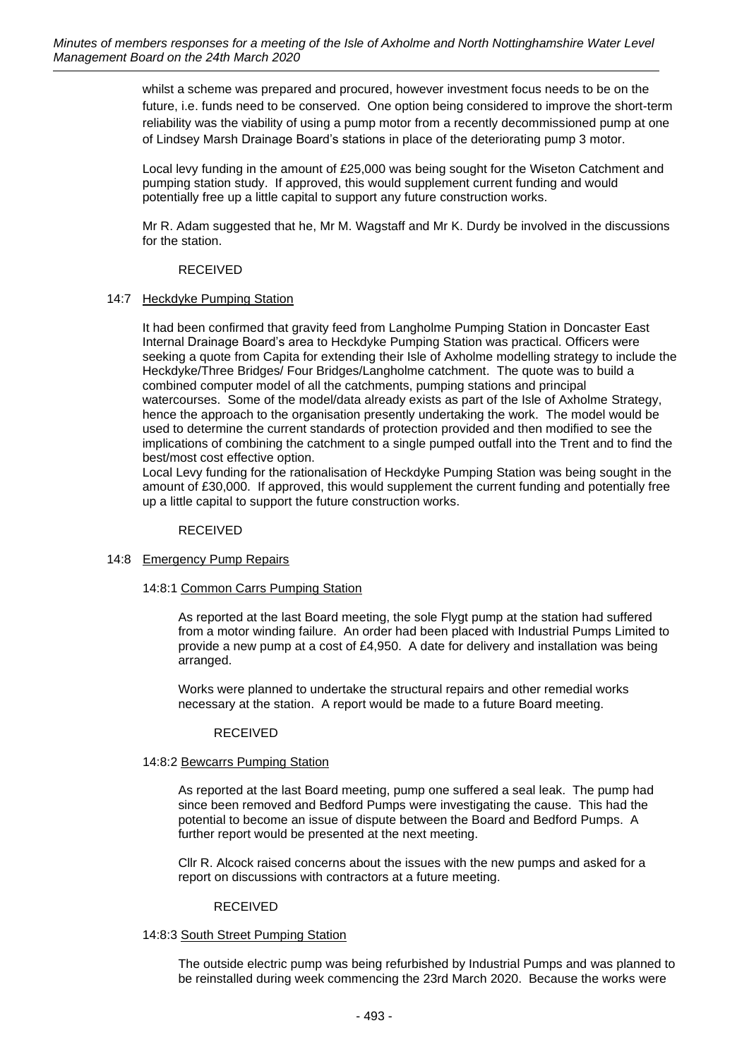whilst a scheme was prepared and procured, however investment focus needs to be on the future, i.e. funds need to be conserved. One option being considered to improve the short-term reliability was the viability of using a pump motor from a recently decommissioned pump at one of Lindsey Marsh Drainage Board's stations in place of the deteriorating pump 3 motor.

Local levy funding in the amount of £25,000 was being sought for the Wiseton Catchment and pumping station study. If approved, this would supplement current funding and would potentially free up a little capital to support any future construction works.

Mr R. Adam suggested that he, Mr M. Wagstaff and Mr K. Durdy be involved in the discussions for the station.

## RECEIVED

# 14:7 Heckdyke Pumping Station

It had been confirmed that gravity feed from Langholme Pumping Station in Doncaster East Internal Drainage Board's area to Heckdyke Pumping Station was practical. Officers were seeking a quote from Capita for extending their Isle of Axholme modelling strategy to include the Heckdyke/Three Bridges/ Four Bridges/Langholme catchment. The quote was to build a combined computer model of all the catchments, pumping stations and principal watercourses. Some of the model/data already exists as part of the Isle of Axholme Strategy, hence the approach to the organisation presently undertaking the work. The model would be used to determine the current standards of protection provided and then modified to see the implications of combining the catchment to a single pumped outfall into the Trent and to find the best/most cost effective option.

Local Levy funding for the rationalisation of Heckdyke Pumping Station was being sought in the amount of £30,000. If approved, this would supplement the current funding and potentially free up a little capital to support the future construction works.

## RECEIVED

# 14:8 Emergency Pump Repairs

## 14:8:1 Common Carrs Pumping Station

As reported at the last Board meeting, the sole Flygt pump at the station had suffered from a motor winding failure. An order had been placed with Industrial Pumps Limited to provide a new pump at a cost of £4,950. A date for delivery and installation was being arranged.

Works were planned to undertake the structural repairs and other remedial works necessary at the station. A report would be made to a future Board meeting.

## RECEIVED

## 14:8:2 Bewcarrs Pumping Station

As reported at the last Board meeting, pump one suffered a seal leak. The pump had since been removed and Bedford Pumps were investigating the cause. This had the potential to become an issue of dispute between the Board and Bedford Pumps. A further report would be presented at the next meeting.

Cllr R. Alcock raised concerns about the issues with the new pumps and asked for a report on discussions with contractors at a future meeting.

## RECEIVED

## 14:8:3 South Street Pumping Station

The outside electric pump was being refurbished by Industrial Pumps and was planned to be reinstalled during week commencing the 23rd March 2020. Because the works were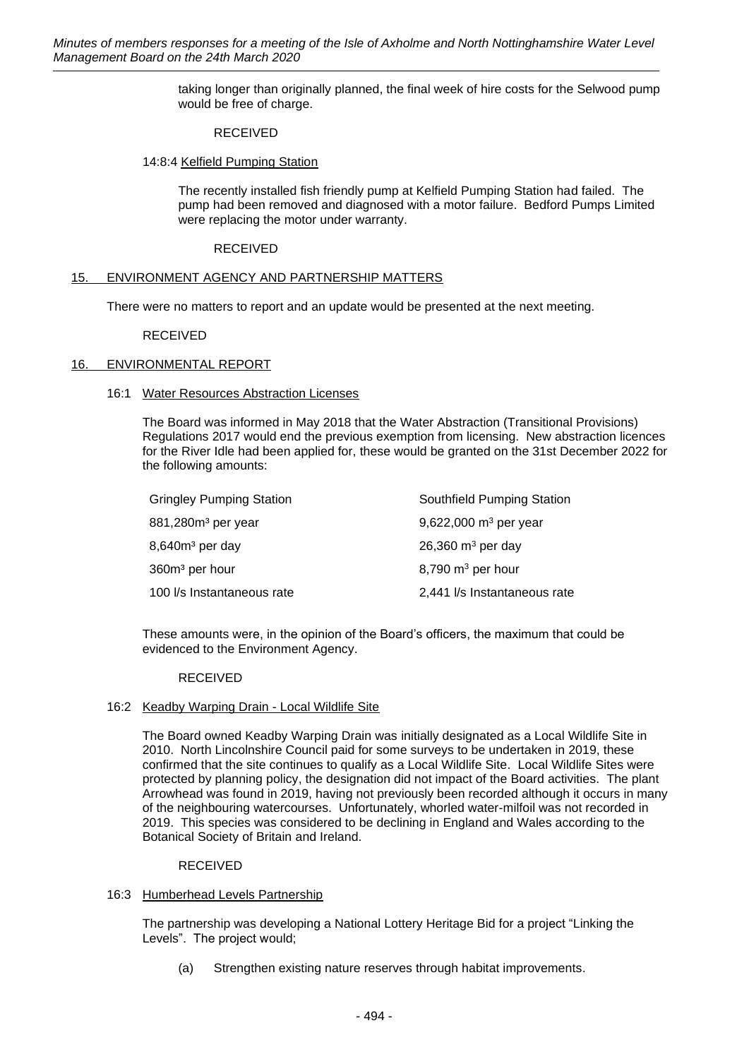taking longer than originally planned, the final week of hire costs for the Selwood pump would be free of charge.

## RECEIVED

## 14:8:4 Kelfield Pumping Station

The recently installed fish friendly pump at Kelfield Pumping Station had failed. The pump had been removed and diagnosed with a motor failure. Bedford Pumps Limited were replacing the motor under warranty.

## RECEIVED

## 15. ENVIRONMENT AGENCY AND PARTNERSHIP MATTERS

There were no matters to report and an update would be presented at the next meeting.

## RECEIVED

# 16. ENVIRONMENTAL REPORT

## 16:1 Water Resources Abstraction Licenses

The Board was informed in May 2018 that the Water Abstraction (Transitional Provisions) Regulations 2017 would end the previous exemption from licensing. New abstraction licences for the River Idle had been applied for, these would be granted on the 31st December 2022 for the following amounts:

| <b>Gringley Pumping Station</b> | Southfield Pumping Station   |
|---------------------------------|------------------------------|
| 881,280m <sup>3</sup> per year  | 9,622,000 $m^3$ per year     |
| 8,640m <sup>3</sup> per day     | 26,360 $m3$ per day          |
| 360m <sup>3</sup> per hour      | $8,790 \text{ m}^3$ per hour |
| 100 l/s Instantaneous rate      | 2,441 I/s Instantaneous rate |

These amounts were, in the opinion of the Board's officers, the maximum that could be evidenced to the Environment Agency.

## RECEIVED

## 16:2 Keadby Warping Drain - Local Wildlife Site

The Board owned Keadby Warping Drain was initially designated as a Local Wildlife Site in 2010. North Lincolnshire Council paid for some surveys to be undertaken in 2019, these confirmed that the site continues to qualify as a Local Wildlife Site. Local Wildlife Sites were protected by planning policy, the designation did not impact of the Board activities. The plant Arrowhead was found in 2019, having not previously been recorded although it occurs in many of the neighbouring watercourses. Unfortunately, whorled water-milfoil was not recorded in 2019. This species was considered to be declining in England and Wales according to the Botanical Society of Britain and Ireland.

## RECEIVED

# 16:3 Humberhead Levels Partnership

The partnership was developing a National Lottery Heritage Bid for a project "Linking the Levels". The project would;

(a) Strengthen existing nature reserves through habitat improvements.